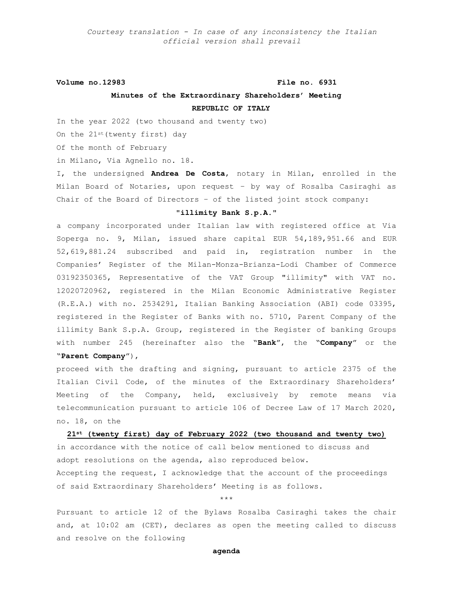**Volume no.12983 File no. 6931**

## **Minutes of the Extraordinary Shareholders' Meeting REPUBLIC OF ITALY**

In the year 2022 (two thousand and twenty two)

On the 21st(twenty first) day

Of the month of February

in Milano, Via Agnello no. 18.

I, the undersigned **Andrea De Costa**, notary in Milan, enrolled in the Milan Board of Notaries, upon request – by way of Rosalba Casiraghi as Chair of the Board of Directors – of the listed joint stock company:

### **"illimity Bank S.p.A."**

a company incorporated under Italian law with registered office at Via Soperga no. 9, Milan, issued share capital EUR 54,189,951.66 and EUR 52,619,881.24 subscribed and paid in, registration number in the Companies' Register of the Milan-Monza-Brianza-Lodi Chamber of Commerce 03192350365, Representative of the VAT Group "illimity" with VAT no. 12020720962, registered in the Milan Economic Administrative Register (R.E.A.) with no. 2534291, Italian Banking Association (ABI) code 03395, registered in the Register of Banks with no. 5710, Parent Company of the illimity Bank S.p.A. Group, registered in the Register of banking Groups with number 245 (hereinafter also the "**Bank**", the "**Company**" or the

```
"Parent Company"),
```
proceed with the drafting and signing, pursuant to article 2375 of the Italian Civil Code, of the minutes of the Extraordinary Shareholders' Meeting of the Company, held, exclusively by remote means via telecommunication pursuant to article 106 of Decree Law of 17 March 2020, no. 18, on the

**21st (twenty first) day of February 2022 (two thousand and twenty two)**

in accordance with the notice of call below mentioned to discuss and adopt resolutions on the agenda, also reproduced below. Accepting the request, I acknowledge that the account of the proceedings of said Extraordinary Shareholders' Meeting is as follows.

\*\*\*

Pursuant to article 12 of the Bylaws Rosalba Casiraghi takes the chair and, at 10:02 am (CET), declares as open the meeting called to discuss and resolve on the following

## **agenda**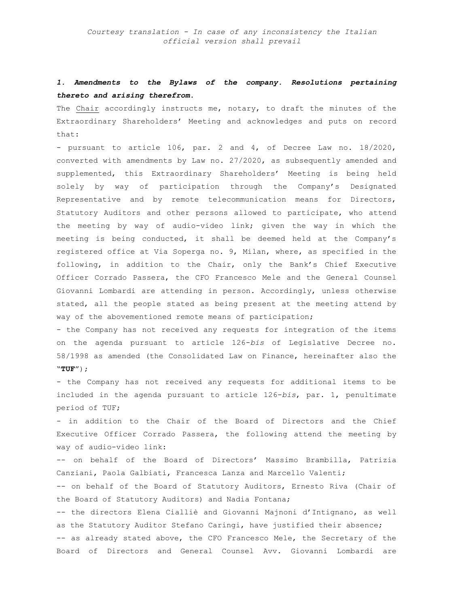# *1. Amendments to the Bylaws of the company. Resolutions pertaining thereto and arising therefrom.*

The Chair accordingly instructs me, notary, to draft the minutes of the Extraordinary Shareholders' Meeting and acknowledges and puts on record that:

- pursuant to article 106, par. 2 and 4, of Decree Law no. 18/2020, converted with amendments by Law no. 27/2020, as subsequently amended and supplemented, this Extraordinary Shareholders' Meeting is being held solely by way of participation through the Company's Designated Representative and by remote telecommunication means for Directors, Statutory Auditors and other persons allowed to participate, who attend the meeting by way of audio-video link; given the way in which the meeting is being conducted, it shall be deemed held at the Company's registered office at Via Soperga no. 9, Milan, where, as specified in the following, in addition to the Chair, only the Bank's Chief Executive Officer Corrado Passera, the CFO Francesco Mele and the General Counsel Giovanni Lombardi are attending in person. Accordingly, unless otherwise stated, all the people stated as being present at the meeting attend by way of the abovementioned remote means of participation;

- the Company has not received any requests for integration of the items on the agenda pursuant to article 126-*bis* of Legislative Decree no. 58/1998 as amended (the Consolidated Law on Finance, hereinafter also the "**TUF**");

- the Company has not received any requests for additional items to be included in the agenda pursuant to article 126-*bis*, par. 1, penultimate period of TUF;

- in addition to the Chair of the Board of Directors and the Chief Executive Officer Corrado Passera, the following attend the meeting by way of audio-video link:

-- on behalf of the Board of Directors' Massimo Brambilla, Patrizia Canziani, Paola Galbiati, Francesca Lanza and Marcello Valenti;

-- on behalf of the Board of Statutory Auditors, Ernesto Riva (Chair of the Board of Statutory Auditors) and Nadia Fontana;

-- the directors Elena Cialliè and Giovanni Majnoni d'Intignano, as well as the Statutory Auditor Stefano Caringi, have justified their absence; -- as already stated above, the CFO Francesco Mele, the Secretary of the Board of Directors and General Counsel Avv. Giovanni Lombardi are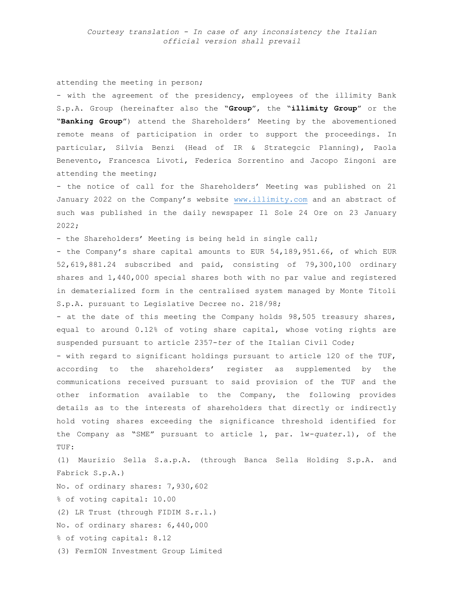### attending the meeting in person;

- with the agreement of the presidency, employees of the illimity Bank S.p.A. Group (hereinafter also the "**Group**", the "**illimity Group**" or the "**Banking Group**") attend the Shareholders' Meeting by the abovementioned remote means of participation in order to support the proceedings. In particular, Silvia Benzi (Head of IR & Strategcic Planning), Paola Benevento, Francesca Livoti, Federica Sorrentino and Jacopo Zingoni are attending the meeting;

- the notice of call for the Shareholders' Meeting was published on 21 January 2022 on the Company's website [www.illimity.com](http://www.illimity.com/) and an abstract of such was published in the daily newspaper Il Sole 24 Ore on 23 January 2022;

- the Shareholders' Meeting is being held in single call;

- the Company's share capital amounts to EUR 54,189,951.66, of which EUR 52,619,881.24 subscribed and paid, consisting of 79,300,100 ordinary shares and 1,440,000 special shares both with no par value and registered in dematerialized form in the centralised system managed by Monte Titoli S.p.A. pursuant to Legislative Decree no. 218/98;

- at the date of this meeting the Company holds 98,505 treasury shares, equal to around 0.12% of voting share capital, whose voting rights are suspended pursuant to article 2357-*ter* of the Italian Civil Code;

- with regard to significant holdings pursuant to article 120 of the TUF, according to the shareholders' register as supplemented by the communications received pursuant to said provision of the TUF and the other information available to the Company, the following provides details as to the interests of shareholders that directly or indirectly hold voting shares exceeding the significance threshold identified for the Company as "SME" pursuant to article 1, par. 1w-*quater*.1), of the TUF:

(1) Maurizio Sella S.a.p.A. (through Banca Sella Holding S.p.A. and Fabrick S.p.A.) No. of ordinary shares: 7,930,602 % of voting capital: 10.00 (2) LR Trust (through FIDIM S.r.l.) No. of ordinary shares: 6,440,000 % of voting capital: 8.12 (3) FermION Investment Group Limited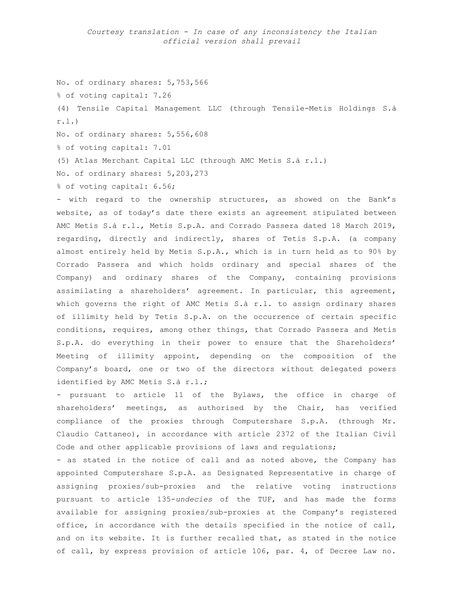No. of ordinary shares: 5,753,566 % of voting capital: 7.26 (4) Tensile Capital Management LLC (through Tensile-Metis Holdings S.à r.l.)

No. of ordinary shares: 5,556,608

% of voting capital: 7.01

(5) Atlas Merchant Capital LLC (through AMC Metis S.à r.l.)

No. of ordinary shares: 5,203,273

% of voting capital: 6.56;

- with regard to the ownership structures, as showed on the Bank's website, as of today's date there exists an agreement stipulated between AMC Metis S.à r.l., Metis S.p.A. and Corrado Passera dated 18 March 2019, regarding, directly and indirectly, shares of Tetis S.p.A. (a company almost entirely held by Metis S.p.A., which is in turn held as to 90% by Corrado Passera and which holds ordinary and special shares of the Company) and ordinary shares of the Company, containing provisions assimilating a shareholders' agreement. In particular, this agreement, which governs the right of AMC Metis S.à r.l. to assign ordinary shares of illimity held by Tetis S.p.A. on the occurrence of certain specific conditions, requires, among other things, that Corrado Passera and Metis S.p.A. do everything in their power to ensure that the Shareholders' Meeting of illimity appoint, depending on the composition of the Company's board, one or two of the directors without delegated powers identified by AMC Metis S.à r.l.;

- pursuant to article 11 of the Bylaws, the office in charge of shareholders' meetings, as authorised by the Chair, has verified compliance of the proxies through Computershare S.p.A. (through Mr. Claudio Cattaneo), in accordance with article 2372 of the Italian Civil Code and other applicable provisions of laws and regulations;

- as stated in the notice of call and as noted above, the Company has appointed Computershare S.p.A. as Designated Representative in charge of assigning proxies/sub-proxies and the relative voting instructions pursuant to article 135-*undecies* of the TUF, and has made the forms available for assigning proxies/sub-proxies at the Company's registered office, in accordance with the details specified in the notice of call, and on its website. It is further recalled that, as stated in the notice of call, by express provision of article 106, par. 4, of Decree Law no.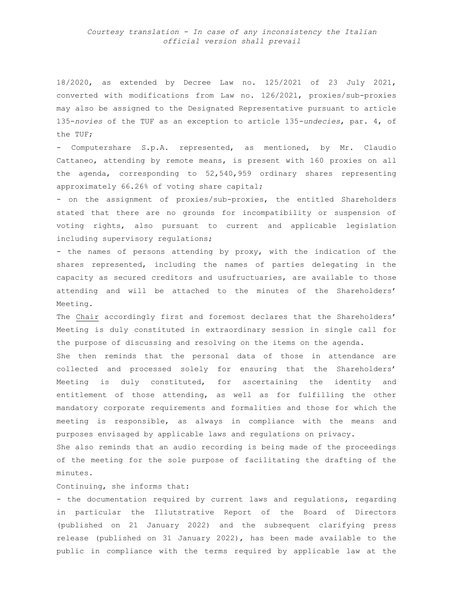18/2020, as extended by Decree Law no. 125/2021 of 23 July 2021, converted with modifications from Law no. 126/2021, proxies/sub-proxies may also be assigned to the Designated Representative pursuant to article 135-*novies* of the TUF as an exception to article 135-*undecies*, par. 4, of the TUF;

- Computershare S.p.A. represented, as mentioned, by Mr. Claudio Cattaneo, attending by remote means, is present with 160 proxies on all the agenda, corresponding to 52,540,959 ordinary shares representing approximately 66.26% of voting share capital;

- on the assignment of proxies/sub-proxies, the entitled Shareholders stated that there are no grounds for incompatibility or suspension of voting rights, also pursuant to current and applicable legislation including supervisory regulations;

- the names of persons attending by proxy, with the indication of the shares represented, including the names of parties delegating in the capacity as secured creditors and usufructuaries, are available to those attending and will be attached to the minutes of the Shareholders' Meeting.

The Chair accordingly first and foremost declares that the Shareholders' Meeting is duly constituted in extraordinary session in single call for the purpose of discussing and resolving on the items on the agenda.

She then reminds that the personal data of those in attendance are collected and processed solely for ensuring that the Shareholders' Meeting is duly constituted, for ascertaining the identity and entitlement of those attending, as well as for fulfilling the other mandatory corporate requirements and formalities and those for which the meeting is responsible, as always in compliance with the means and purposes envisaged by applicable laws and regulations on privacy.

She also reminds that an audio recording is being made of the proceedings of the meeting for the sole purpose of facilitating the drafting of the minutes.

## Continuing, she informs that:

- the documentation required by current laws and regulations, regarding in particular the Illutstrative Report of the Board of Directors (published on 21 January 2022) and the subsequent clarifying press release (published on 31 January 2022), has been made available to the public in compliance with the terms required by applicable law at the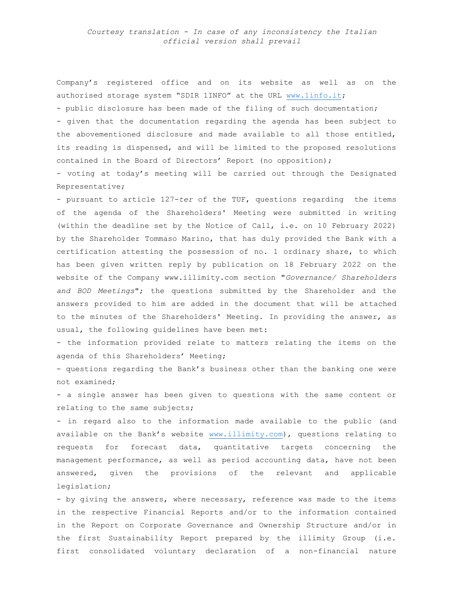Company's registered office and on its website as well as on the authorised storage system "SDIR 1INFO" at the URL [www.1info.it;](http://www.1info.it/) - public disclosure has been made of the filing of such documentation;

- given that the documentation regarding the agenda has been subject to the abovementioned disclosure and made available to all those entitled, its reading is dispensed, and will be limited to the proposed resolutions contained in the Board of Directors' Report (no opposition);

- voting at today's meeting will be carried out through the Designated Representative;

- pursuant to article 127-*ter* of the TUF, questions regarding the items of the agenda of the Shareholders' Meeting were submitted in writing (within the deadline set by the Notice of Call, i.e. on 10 February 2022) by the Shareholder Tommaso Marino, that has duly provided the Bank with a certification attesting the possession of no. 1 ordinary share, to which has been given written reply by publication on 18 February 2022 on the website of the Company www.illimity.com section "*Governance/ Shareholders and BOD Meetings*"; the questions submitted by the Shareholder and the answers provided to him are added in the document that will be attached to the minutes of the Shareholders' Meeting. In providing the answer, as usual, the following guidelines have been met:

- the information provided relate to matters relating the items on the agenda of this Shareholders' Meeting;

- questions regarding the Bank's business other than the banking one were not examined;

- a single answer has been given to questions with the same content or relating to the same subjects;

- in regard also to the information made available to the public (and available on the Bank's website [www.illimity.com\)](http://www.illimity.com/), questions relating to requests for forecast data, quantitative targets concerning the management performance, as well as period accounting data, have not been answered, given the provisions of the relevant and applicable legislation;

- by giving the answers, where necessary, reference was made to the items in the respective Financial Reports and/or to the information contained in the Report on Corporate Governance and Ownership Structure and/or in the first Sustainability Report prepared by the illimity Group (i.e. first consolidated voluntary declaration of a non-financial nature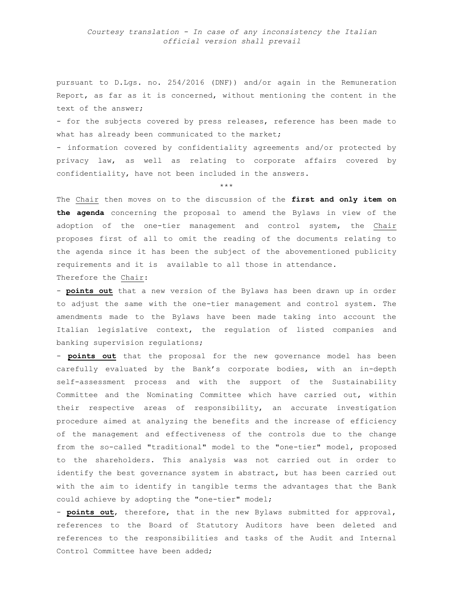pursuant to D.Lgs. no. 254/2016 (DNF)) and/or again in the Remuneration Report, as far as it is concerned, without mentioning the content in the text of the answer;

- for the subjects covered by press releases, reference has been made to what has already been communicated to the market;

- information covered by confidentiality agreements and/or protected by privacy law, as well as relating to corporate affairs covered by confidentiality, have not been included in the answers.

\*\*\*

The Chair then moves on to the discussion of the **first and only item on the agenda** concerning the proposal to amend the Bylaws in view of the adoption of the one-tier management and control system, the Chair proposes first of all to omit the reading of the documents relating to the agenda since it has been the subject of the abovementioned publicity requirements and it is available to all those in attendance. Therefore the Chair:

- **points out** that a new version of the Bylaws has been drawn up in order to adjust the same with the one-tier management and control system. The amendments made to the Bylaws have been made taking into account the Italian legislative context, the regulation of listed companies and banking supervision regulations;

- **points out** that the proposal for the new governance model has been carefully evaluated by the Bank's corporate bodies, with an in-depth self-assessment process and with the support of the Sustainability Committee and the Nominating Committee which have carried out, within their respective areas of responsibility, an accurate investigation procedure aimed at analyzing the benefits and the increase of efficiency of the management and effectiveness of the controls due to the change from the so-called "traditional" model to the "one-tier" model, proposed to the shareholders. This analysis was not carried out in order to identify the best governance system in abstract, but has been carried out with the aim to identify in tangible terms the advantages that the Bank could achieve by adopting the "one-tier" model;

- **points out**, therefore, that in the new Bylaws submitted for approval, references to the Board of Statutory Auditors have been deleted and references to the responsibilities and tasks of the Audit and Internal Control Committee have been added;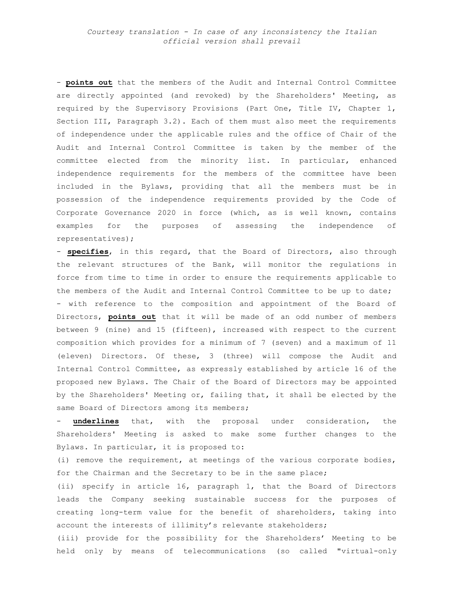- **points out** that the members of the Audit and Internal Control Committee are directly appointed (and revoked) by the Shareholders' Meeting, as required by the Supervisory Provisions (Part One, Title IV, Chapter 1, Section III, Paragraph 3.2). Each of them must also meet the requirements of independence under the applicable rules and the office of Chair of the Audit and Internal Control Committee is taken by the member of the committee elected from the minority list. In particular, enhanced independence requirements for the members of the committee have been included in the Bylaws, providing that all the members must be in possession of the independence requirements provided by the Code of Corporate Governance 2020 in force (which, as is well known, contains examples for the purposes of assessing the independence of representatives);

- **specifies**, in this regard, that the Board of Directors, also through the relevant structures of the Bank, will monitor the regulations in force from time to time in order to ensure the requirements applicable to the members of the Audit and Internal Control Committee to be up to date; - with reference to the composition and appointment of the Board of Directors, **points out** that it will be made of an odd number of members between 9 (nine) and 15 (fifteen), increased with respect to the current composition which provides for a minimum of 7 (seven) and a maximum of 11 (eleven) Directors. Of these, 3 (three) will compose the Audit and Internal Control Committee, as expressly established by article 16 of the proposed new Bylaws. The Chair of the Board of Directors may be appointed by the Shareholders' Meeting or, failing that, it shall be elected by the same Board of Directors among its members;

underlines that, with the proposal under consideration, the Shareholders' Meeting is asked to make some further changes to the Bylaws. In particular, it is proposed to:

(i) remove the requirement, at meetings of the various corporate bodies, for the Chairman and the Secretary to be in the same place;

(ii) specify in article 16, paragraph 1, that the Board of Directors leads the Company seeking sustainable success for the purposes of creating long-term value for the benefit of shareholders, taking into account the interests of illimity's relevante stakeholders;

(iii) provide for the possibility for the Shareholders' Meeting to be held only by means of telecommunications (so called "virtual-only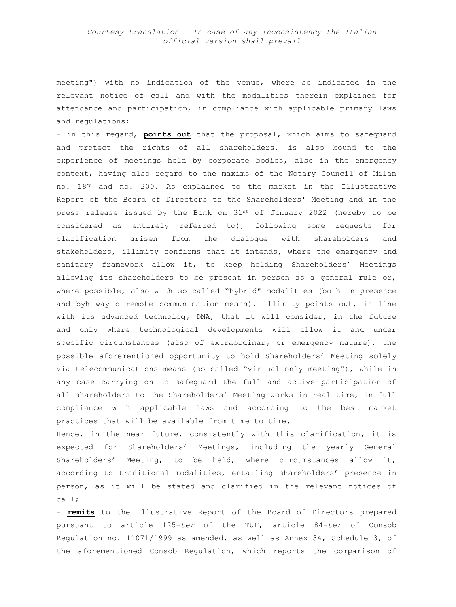meeting") with no indication of the venue, where so indicated in the relevant notice of call and with the modalities therein explained for attendance and participation, in compliance with applicable primary laws and regulations;

- in this regard, **points out** that the proposal, which aims to safeguard and protect the rights of all shareholders, is also bound to the experience of meetings held by corporate bodies, also in the emergency context, having also regard to the maxims of the Notary Council of Milan no. 187 and no. 200. As explained to the market in the Illustrative Report of the Board of Directors to the Shareholders' Meeting and in the press release issued by the Bank on  $31^{st}$  of January 2022 (hereby to be considered as entirely referred to), following some requests for clarification arisen from the dialogue with shareholders and stakeholders, illimity confirms that it intends, where the emergency and sanitary framework allow it, to keep holding Shareholders' Meetings allowing its shareholders to be present in person as a general rule or, where possible, also with so called "hybrid" modalities (both in presence and byh way o remote communication means). illimity points out, in line with its advanced technology DNA, that it will consider, in the future and only where technological developments will allow it and under specific circumstances (also of extraordinary or emergency nature), the possible aforementioned opportunity to hold Shareholders' Meeting solely via telecommunications means (so called "virtual-only meeting"), while in any case carrying on to safeguard the full and active participation of all shareholders to the Shareholders' Meeting works in real time, in full compliance with applicable laws and according to the best market practices that will be available from time to time.

Hence, in the near future, consistently with this clarification, it is expected for Shareholders' Meetings, including the yearly General Shareholders' Meeting, to be held, where circumstances allow it, according to traditional modalities, entailing shareholders' presence in person, as it will be stated and clarified in the relevant notices of call;

- **remits** to the Illustrative Report of the Board of Directors prepared pursuant to article 125-*ter* of the TUF, article 84-*ter* of Consob Regulation no. 11071/1999 as amended, as well as Annex 3A, Schedule 3, of the aforementioned Consob Regulation, which reports the comparison of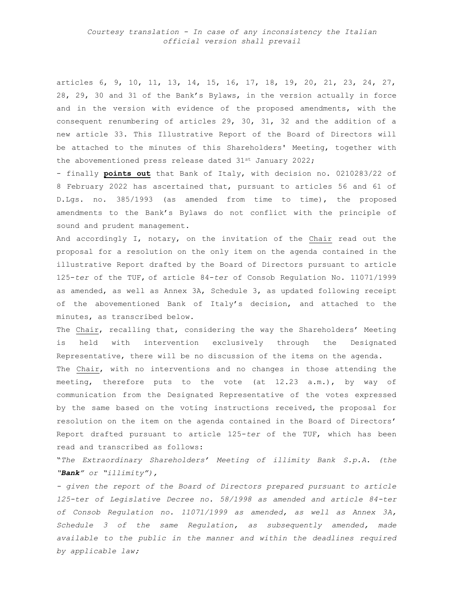articles 6, 9, 10, 11, 13, 14, 15, 16, 17, 18, 19, 20, 21, 23, 24, 27, 28, 29, 30 and 31 of the Bank's Bylaws, in the version actually in force and in the version with evidence of the proposed amendments, with the consequent renumbering of articles 29, 30, 31, 32 and the addition of a new article 33. This Illustrative Report of the Board of Directors will be attached to the minutes of this Shareholders' Meeting, together with the abovementioned press release dated 31st January 2022;

- finally **points out** that Bank of Italy, with decision no. 0210283/22 of 8 February 2022 has ascertained that, pursuant to articles 56 and 61 of D.Lgs. no. 385/1993 (as amended from time to time), the proposed amendments to the Bank's Bylaws do not conflict with the principle of sound and prudent management.

And accordingly I, notary, on the invitation of the Chair read out the proposal for a resolution on the only item on the agenda contained in the illustrative Report drafted by the Board of Directors pursuant to article 125-*ter* of the TUF, of article 84-*ter* of Consob Regulation No. 11071/1999 as amended, as well as Annex 3A, Schedule 3, as updated following receipt of the abovementioned Bank of Italy's decision, and attached to the minutes, as transcribed below.

The Chair, recalling that, considering the way the Shareholders' Meeting is held with intervention exclusively through the Designated Representative, there will be no discussion of the items on the agenda. The Chair, with no interventions and no changes in those attending the meeting, therefore puts to the vote (at  $12.23$  a.m.), by way of communication from the Designated Representative of the votes expressed by the same based on the voting instructions received, the proposal for resolution on the item on the agenda contained in the Board of Directors' Report drafted pursuant to article 125-*ter* of the TUF, which has been read and transcribed as follows:

"*The Extraordinary Shareholders' Meeting of illimity Bank S.p.A. (the "Bank" or "illimity"),*

*- given the report of the Board of Directors prepared pursuant to article 125-ter of Legislative Decree no. 58/1998 as amended and article 84-ter of Consob Regulation no. 11071/1999 as amended, as well as Annex 3A, Schedule 3 of the same Regulation, as subsequently amended, made available to the public in the manner and within the deadlines required by applicable law;*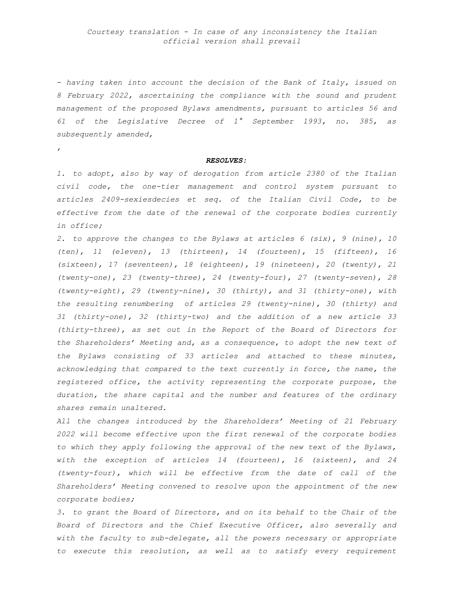*- having taken into account the decision of the Bank of Italy, issued on 8 February 2022, ascertaining the compliance with the sound and prudent management of the proposed Bylaws amendments, pursuant to articles 56 and 61 of the Legislative Decree of 1° September 1993, no. 385, as subsequently amended,*

*,*

#### *RESOLVES:*

*1. to adopt, also by way of derogation from article 2380 of the Italian civil code, the one-tier management and control system pursuant to articles 2409-sexiesdecies et seq. of the Italian Civil Code, to be effective from the date of the renewal of the corporate bodies currently in office;*

*2. to approve the changes to the Bylaws at articles 6 (six), 9 (nine), 10 (ten), 11 (eleven), 13 (thirteen), 14 (fourteen), 15 (fifteen), 16 (sixteen), 17 (seventeen), 18 (eighteen), 19 (nineteen), 20 (twenty), 21 (twenty-one), 23 (twenty-three), 24 (twenty-four), 27 (twenty-seven), 28 (twenty-eight), 29 (twenty-nine), 30 (thirty), and 31 (thirty-one), with the resulting renumbering of articles 29 (twenty-nine), 30 (thirty) and 31 (thirty-one), 32 (thirty-two) and the addition of a new article 33 (thirty-three), as set out in the Report of the Board of Directors for the Shareholders' Meeting and, as a consequence, to adopt the new text of the Bylaws consisting of 33 articles and attached to these minutes, acknowledging that compared to the text currently in force, the name, the registered office, the activity representing the corporate purpose, the duration, the share capital and the number and features of the ordinary shares remain unaltered.*

*All the changes introduced by the Shareholders' Meeting of 21 February 2022 will become effective upon the first renewal of the corporate bodies to which they apply following the approval of the new text of the Bylaws, with the exception of articles 14 (fourteen), 16 (sixteen), and 24 (twenty-four), which will be effective from the date of call of the Shareholders' Meeting convened to resolve upon the appointment of the new corporate bodies;*

*3. to grant the Board of Directors, and on its behalf to the Chair of the Board of Directors and the Chief Executive Officer, also severally and with the faculty to sub-delegate, all the powers necessary or appropriate to execute this resolution, as well as to satisfy every requirement*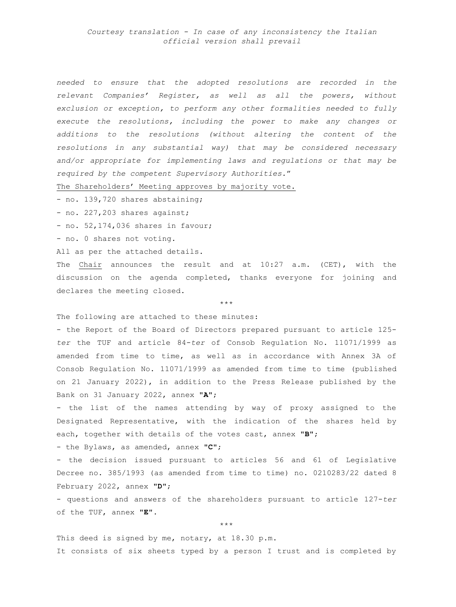*Courtesy translation - In case of any inconsistency the Italian official version shall prevail*

*needed to ensure that the adopted resolutions are recorded in the relevant Companies' Register, as well as all the powers, without exclusion or exception, to perform any other formalities needed to fully execute the resolutions, including the power to make any changes or additions to the resolutions (without altering the content of the resolutions in any substantial way) that may be considered necessary and/or appropriate for implementing laws and regulations or that may be required by the competent Supervisory Authorities.*"

The Shareholders' Meeting approves by majority vote.

- no. 139,720 shares abstaining;

- no. 227,203 shares against;

- no. 52,174,036 shares in favour;

- no. 0 shares not voting.

All as per the attached details.

The Chair announces the result and at 10:27 a.m. (CET), with the discussion on the agenda completed, thanks everyone for joining and declares the meeting closed.

\*\*\*

The following are attached to these minutes:

- the Report of the Board of Directors prepared pursuant to article 125 *ter* the TUF and article 84-*ter* of Consob Regulation No. 11071/1999 as amended from time to time, as well as in accordance with Annex 3A of Consob Regulation No. 11071/1999 as amended from time to time (published on 21 January 2022), in addition to the Press Release published by the Bank on 31 January 2022, annex **"A"**;

- the list of the names attending by way of proxy assigned to the Designated Representative, with the indication of the shares held by each, together with details of the votes cast, annex **"B"**;

- the Bylaws, as amended, annex **"C"**;

- the decision issued pursuant to articles 56 and 61 of Legislative Decree no. 385/1993 (as amended from time to time) no. 0210283/22 dated 8 February 2022, annex "**D**";

- questions and answers of the shareholders pursuant to article 127-*ter* of the TUF, annex "**E**".

\*\*\*

This deed is signed by me, notary, at 18.30 p.m. It consists of six sheets typed by a person I trust and is completed by